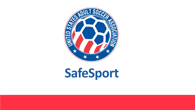

# **SafeSport**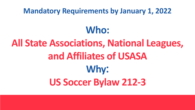# **Mandatory Requirements by January 1, 2022 Who: All State Associations, National Leagues, and Affiliates of USASA Why**: **US Soccer Bylaw 212-3**

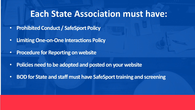## **Each State Association must have:**

- **Prohibited Conduct / SafeSport Policy**
- **Limiting One-on-One Interactions Policy**
- **Procedure for Reporting on website**
- **Policies need to be adopted and posted on your website**
- **BODfor State and staff must have SafeSport training and screening**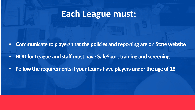## **Each League must:**

- **Communicate to playersthat the policies and reporting are on Statewebsite**
- **BOD for League and staff must have SafeSport training and screening**
- **Follow the requirements if your teams have players under the age of 18**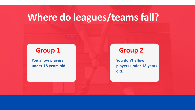# **Where do leagues/teams fall?**

**You allow players under 18 years old.** 

## **Group 1**

**You don't allow players under 18 years** 

**old.** 

## **Group 2**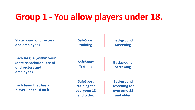## **Group 1 - You allow players under 18.**

 $\mathbf{I}$ 

| <b>State board of directors</b><br>and employees                                                     | <b>SafeSport</b><br>training                                  | <b>Backg</b><br><b>Scree</b>               |
|------------------------------------------------------------------------------------------------------|---------------------------------------------------------------|--------------------------------------------|
| <b>Each league (within your</b><br><b>State Association) board</b><br>of directors and<br>employees. | <b>SafeSport</b><br><b>Training</b>                           | <b>Backgr</b><br><b>Scree</b>              |
| Each team that has a<br>player under 18 on it.                                                       | <b>SafeSport</b><br>training for<br>everyone 18<br>and older. | <b>Backgr</b><br>screen<br>everyo<br>and c |

**round <u>Ening</u>** 

**round ning** 

round **ing for pne 18 alder.**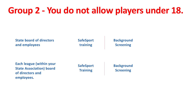## **Group 2 - You do not allow players under 18.**

| <b>SafeSport</b> | <b>Backgr</b> |
|------------------|---------------|
| training         | <b>Scree</b>  |
| <b>SafeSport</b> | <b>Backgr</b> |
| <b>Training</b>  | <b>Scree</b>  |

**round ning** 

**round Sigman** 



| <b>Each league (within your</b> |
|---------------------------------|
| <b>State Association) board</b> |
| of directors and                |
| employees.                      |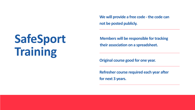# **SafeSport Training**

# **We will provide a free code -the code can**

**not be posted publicly.** 

**Members will be responsible for tracking their association on a spreadsheet.** 

**Original course good for one year.**

**Refresher course required each year after for next 3 years.**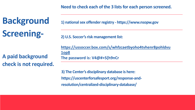## **Need to che**

**1) national sex of** 

**2) U.S. Soccer** 

**https://usso 1op8 The password** 

**3) The Center** https://uscer **resolution/ce** 

# **Background Screening-**

## **A paid background check is not required.**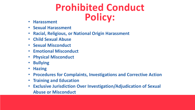# **Prohibited Conduct Policy:** • **Harassment**

- 
- **Sexual Harassment**
- **Racial, Religious, or National Origin Harassment**
- **Child Sexual Abuse**
- **Sexual Misconduct**
- **Emotional Misconduct**
- **Physical Misconduct**
- **Bullying**
- **Hazing**
- **Procedures for Complaints, Investigations and Corrective Action**
- **Training and Education**
- **Exclusive Jurisdiction Over Investigation/Adjudication of Sexual Abuse or Misconduct**

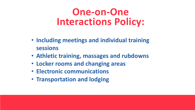# **One-on-One Interactions Policy:**

- **Including meetings and individual training sessions**
- **Athletic training, massages and rubdowns**
- **Locker rooms and changing areas**
- **Electronic communications**
- **Transportation and lodging**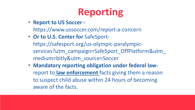# **Reporting**

- **Report to US Soccer**  https://www.ussoccer.com/report-a-concern
- **Or to U.S. Center for** SafeSporthttps://safesport.org/us-olympic-paralympicservices?utm\_campaign=SafeSport\_OffPlatform&utm medium=bitly&utm\_source=Soccer
- **Mandatory reporting obligation under federal law**report to **law enforcement** facts giving them a reason to suspect child abuse within 24 hours of becoming aware of the facts.

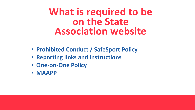# What is required to be **on the State Association website**

- **Prohibited Conduct / SafeSport Policy**
- **Reporting links and instructions**
- **One-on-One Policy**
- **MAAPP**